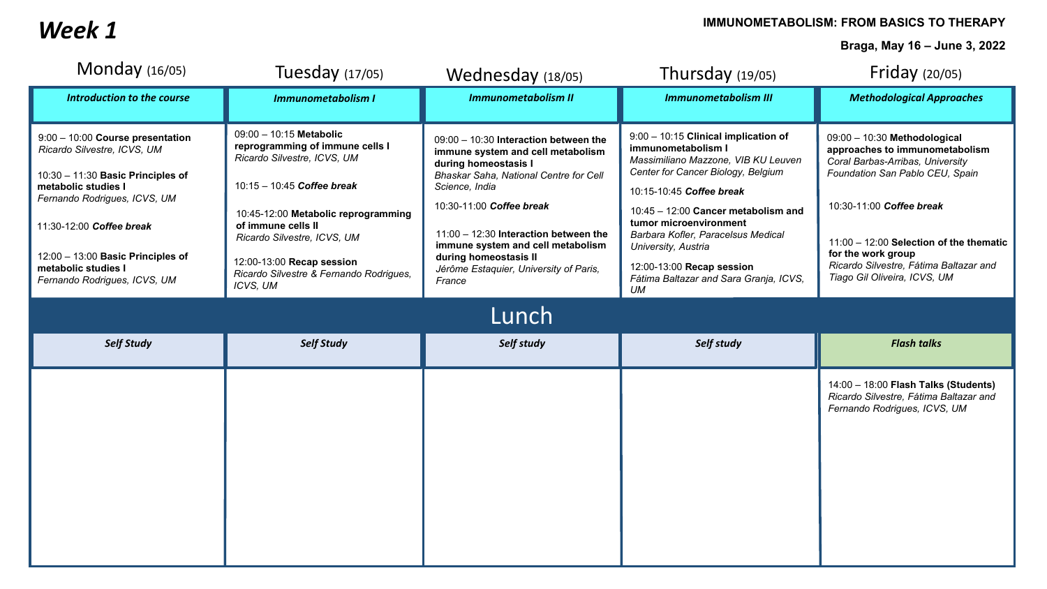## **IMMUNOMETABOLISM: FROM BASICS TO THERAPY IMMUNOMETABOLISM: FROM BASICS TO THERAPY**

**Braga, May 16 – June 3, 2022**

| Monday $(16/05)$                                                                                                                                                                                                                                                                      | Tuesday $(17/05)$                                                                                                                                                                                                                                                                                       | Wednesday (18/05)                                                                                                                                                                                                                                                                                                                                     | Thursday $(19/05)$                                                                                                                                                                                                                                                                                                                                                                 | Friday $(20/05)$                                                                                                                                                                                                                                                                                             |  |  |  |
|---------------------------------------------------------------------------------------------------------------------------------------------------------------------------------------------------------------------------------------------------------------------------------------|---------------------------------------------------------------------------------------------------------------------------------------------------------------------------------------------------------------------------------------------------------------------------------------------------------|-------------------------------------------------------------------------------------------------------------------------------------------------------------------------------------------------------------------------------------------------------------------------------------------------------------------------------------------------------|------------------------------------------------------------------------------------------------------------------------------------------------------------------------------------------------------------------------------------------------------------------------------------------------------------------------------------------------------------------------------------|--------------------------------------------------------------------------------------------------------------------------------------------------------------------------------------------------------------------------------------------------------------------------------------------------------------|--|--|--|
| Introduction to the course                                                                                                                                                                                                                                                            | <b>Immunometabolism I</b>                                                                                                                                                                                                                                                                               | <b>Immunometabolism II</b>                                                                                                                                                                                                                                                                                                                            | <b>Immunometabolism III</b>                                                                                                                                                                                                                                                                                                                                                        | <b>Methodological Approaches</b>                                                                                                                                                                                                                                                                             |  |  |  |
| 9:00 - 10:00 Course presentation<br>Ricardo Silvestre, ICVS, UM<br>$10:30 - 11:30$ Basic Principles of<br>metabolic studies I<br>Fernando Rodrigues, ICVS, UM<br>11:30-12:00 Coffee break<br>12:00 - 13:00 Basic Principles of<br>metabolic studies I<br>Fernando Rodrigues, ICVS, UM | 09:00 - 10:15 Metabolic<br>reprogramming of immune cells I<br>Ricardo Silvestre, ICVS, UM<br>10:15 - 10:45 Coffee break<br>10:45-12:00 Metabolic reprogramming<br>of immune cells II<br>Ricardo Silvestre, ICVS, UM<br>12:00-13:00 Recap session<br>Ricardo Silvestre & Fernando Rodrigues,<br>ICVS, UM | 09:00 - 10:30 Interaction between the<br>immune system and cell metabolism<br>during homeostasis I<br>Bhaskar Saha, National Centre for Cell<br>Science, India<br>10:30-11:00 Coffee break<br>11:00 - 12:30 Interaction between the<br>immune system and cell metabolism<br>during homeostasis II<br>Jérôme Estaquier, University of Paris,<br>France | $9:00 - 10:15$ Clinical implication of<br>immunometabolism I<br>Massimiliano Mazzone, VIB KU Leuven<br>Center for Cancer Biology, Belgium<br>10:15-10:45 Coffee break<br>$10:45 - 12:00$ Cancer metabolism and<br>tumor microenvironment<br>Barbara Kofler, Paracelsus Medical<br>University, Austria<br>12:00-13:00 Recap session<br>Fátima Baltazar and Sara Granja, ICVS,<br>UM | 09:00 - 10:30 Methodological<br>approaches to immunometabolism<br>Coral Barbas-Arribas, University<br>Foundation San Pablo CEU, Spain<br>10:30-11:00 Coffee break<br>11:00 - 12:00 Selection of the thematic<br>for the work group<br>Ricardo Silvestre, Fátima Baltazar and<br>Tiago Gil Oliveira, ICVS, UM |  |  |  |
| Lunch                                                                                                                                                                                                                                                                                 |                                                                                                                                                                                                                                                                                                         |                                                                                                                                                                                                                                                                                                                                                       |                                                                                                                                                                                                                                                                                                                                                                                    |                                                                                                                                                                                                                                                                                                              |  |  |  |
| <b>Self Study</b>                                                                                                                                                                                                                                                                     | <b>Self Study</b>                                                                                                                                                                                                                                                                                       | Self study                                                                                                                                                                                                                                                                                                                                            | Self study                                                                                                                                                                                                                                                                                                                                                                         | <b>Flash talks</b>                                                                                                                                                                                                                                                                                           |  |  |  |
|                                                                                                                                                                                                                                                                                       |                                                                                                                                                                                                                                                                                                         |                                                                                                                                                                                                                                                                                                                                                       |                                                                                                                                                                                                                                                                                                                                                                                    | 14:00 - 18:00 Flash Talks (Students)<br>Ricardo Silvestre, Fátima Baltazar and<br>Fernando Rodrigues, ICVS, UM                                                                                                                                                                                               |  |  |  |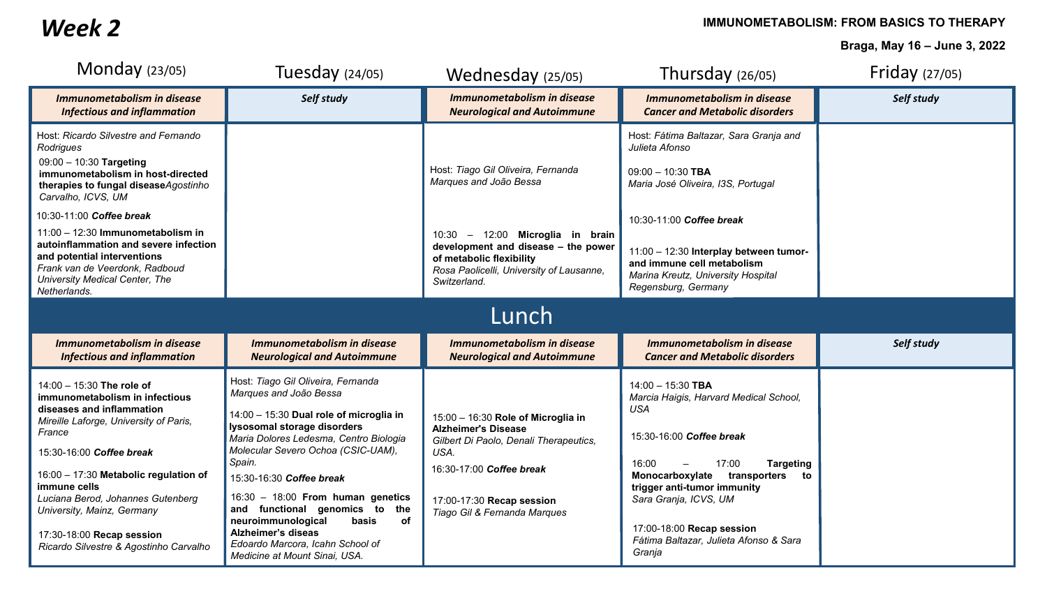*Week 2*

**IMMUNOMETABOLISM: FROM BASICS TO THERAPY** 

**Braga, May 16 – June 3, 2022**

| Monday $(23/05)$                                                                                                                                                                                                                                                                                                                                                                                               | Tuesday $(24/05)$                                                                                                                                                                                                                                                                                                                                                                                                                                                          | Wednesday (25/05)                                                                                                                                                                                                               | Thursday $(26/05)$                                                                                                                                                                                                                                                                                                              | Friday (27/05) |  |  |  |  |
|----------------------------------------------------------------------------------------------------------------------------------------------------------------------------------------------------------------------------------------------------------------------------------------------------------------------------------------------------------------------------------------------------------------|----------------------------------------------------------------------------------------------------------------------------------------------------------------------------------------------------------------------------------------------------------------------------------------------------------------------------------------------------------------------------------------------------------------------------------------------------------------------------|---------------------------------------------------------------------------------------------------------------------------------------------------------------------------------------------------------------------------------|---------------------------------------------------------------------------------------------------------------------------------------------------------------------------------------------------------------------------------------------------------------------------------------------------------------------------------|----------------|--|--|--|--|
| <b>Immunometabolism in disease</b><br><b>Infectious and inflammation</b>                                                                                                                                                                                                                                                                                                                                       | Self study                                                                                                                                                                                                                                                                                                                                                                                                                                                                 | Immunometabolism in disease<br><b>Neurological and Autoimmune</b>                                                                                                                                                               | Immunometabolism in disease<br><b>Cancer and Metabolic disorders</b>                                                                                                                                                                                                                                                            | Self study     |  |  |  |  |
| Host: Ricardo Silvestre and Fernando<br>Rodrigues<br>$09:00 - 10:30$ Targeting<br>immunometabolism in host-directed<br>therapies to fungal diseaseAgostinho<br>Carvalho, ICVS, UM<br>10:30-11:00 Coffee break<br>11:00 - 12:30 Immunometabolism in<br>autoinflammation and severe infection<br>and potential interventions<br>Frank van de Veerdonk, Radboud<br>University Medical Center, The<br>Netherlands. |                                                                                                                                                                                                                                                                                                                                                                                                                                                                            | Host: Tiago Gil Oliveira, Fernanda<br>Marques and João Bessa<br>10:30 - 12:00 Microglia in brain<br>development and disease - the power<br>of metabolic flexibility<br>Rosa Paolicelli, University of Lausanne,<br>Switzerland. | Host: Fátima Baltazar, Sara Granja and<br>Julieta Afonso<br>$09:00 - 10:30$ TBA<br>Maria José Oliveira, I3S, Portugal<br>10:30-11:00 Coffee break<br>11:00 - 12:30 Interplay between tumor-<br>and immune cell metabolism<br>Marina Kreutz, University Hospital<br>Regensburg, Germany                                          |                |  |  |  |  |
| Lunch                                                                                                                                                                                                                                                                                                                                                                                                          |                                                                                                                                                                                                                                                                                                                                                                                                                                                                            |                                                                                                                                                                                                                                 |                                                                                                                                                                                                                                                                                                                                 |                |  |  |  |  |
| Immunometabolism in disease<br><b>Infectious and inflammation</b>                                                                                                                                                                                                                                                                                                                                              | Immunometabolism in disease<br><b>Neurological and Autoimmune</b>                                                                                                                                                                                                                                                                                                                                                                                                          | Immunometabolism in disease<br><b>Neurological and Autoimmune</b>                                                                                                                                                               | Immunometabolism in disease<br><b>Cancer and Metabolic disorders</b>                                                                                                                                                                                                                                                            | Self study     |  |  |  |  |
| 14:00 - 15:30 The role of<br>immunometabolism in infectious<br>diseases and inflammation<br>Mireille Laforge, University of Paris,<br>France<br>15:30-16:00 Coffee break<br>16:00 - 17:30 Metabolic regulation of<br>immune cells<br>Luciana Berod, Johannes Gutenberg<br>University, Mainz, Germany<br>17:30-18:00 Recap session<br>Ricardo Silvestre & Agostinho Carvalho                                    | Host: Tiago Gil Oliveira, Fernanda<br>Marques and João Bessa<br>14:00 - 15:30 Dual role of microglia in<br>lysosomal storage disorders<br>Maria Dolores Ledesma, Centro Biologia<br>Molecular Severo Ochoa (CSIC-UAM),<br>Spain.<br>15:30-16:30 Coffee break<br>16:30 - 18:00 From human genetics<br>and functional genomics to the<br>neuroimmunological<br>basis<br>of<br><b>Alzheimer's diseas</b><br>Edoardo Marcora, Icahn School of<br>Medicine at Mount Sinai, USA. | 15:00 - 16:30 Role of Microglia in<br><b>Alzheimer's Disease</b><br>Gilbert Di Paolo, Denali Therapeutics,<br>USA.<br>16:30-17:00 Coffee break<br>17:00-17:30 Recap session<br>Tiago Gil & Fernanda Marques                     | $14:00 - 15:30$ TBA<br>Marcia Haigis, Harvard Medical School,<br><b>USA</b><br>15:30-16:00 Coffee break<br>17:00<br>16:00<br><b>Targeting</b><br>Monocarboxylate<br>transporters<br>to<br>trigger anti-tumor immunity<br>Sara Granja, ICVS, UM<br>17:00-18:00 Recap session<br>Fátima Baltazar, Julieta Afonso & Sara<br>Grania |                |  |  |  |  |